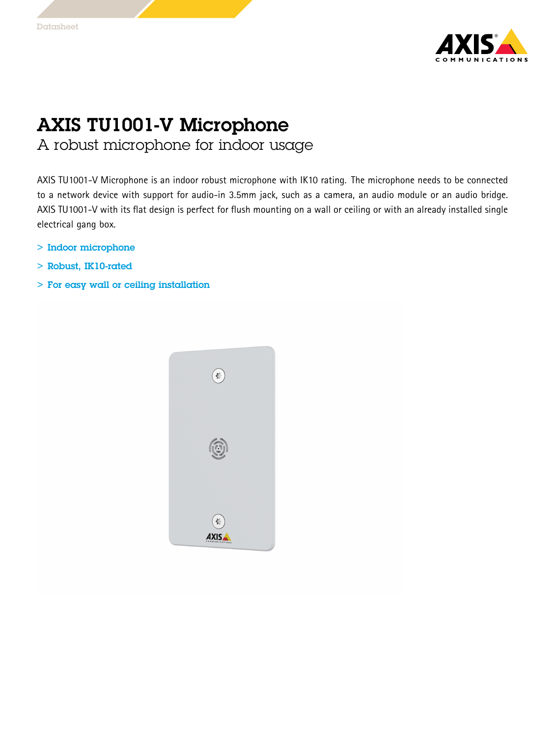

## AXIS TU1001-V Microphone

A robust microphone for indoor usage

AXIS TU1001-V Microphone is an indoor robust microphone with IK10 rating. The microphone needs to be connected to <sup>a</sup> network device with support for audio-in 3.5mm jack, such as <sup>a</sup> camera, an audio module or an audio bridge. AXIS TU1001-V with its flat design is perfect for flush mounting on <sup>a</sup> wall or ceiling or with an already installed single electrical gang box.

- > Indoor microphone
- > Robust, IK10-rated
- > For easy wall or ceiling installation